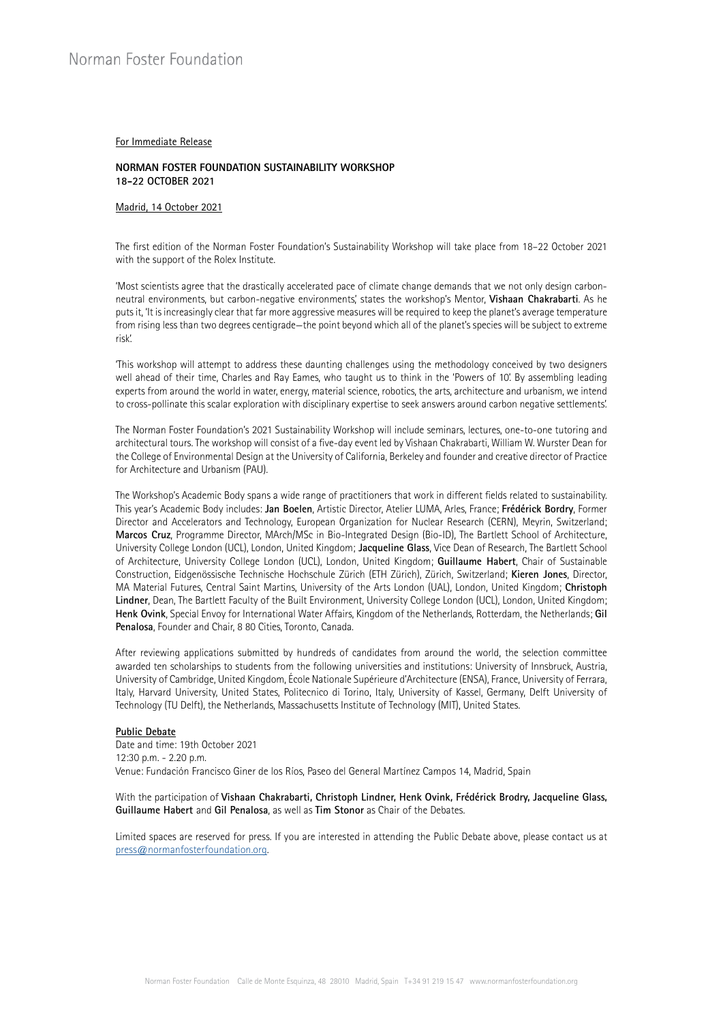### For Immediate Release

### **NORMAN FOSTER FOUNDATION SUSTAINABILITY WORKSHOP 18-22 OCTOBER 2021**

# Madrid, 14 October 2021

The first edition of the Norman Foster Foundation's Sustainability Workshop will take place from 18–22 October 2021 with the support of the Rolex Institute.

'Most scientists agree that the drastically accelerated pace of climate change demands that we not only design carbonneutral environments, but carbon-negative environments,' states the workshop's Mentor, **Vishaan Chakrabarti**. As he puts it, 'It is increasingly clear that far more aggressive measures will be required to keep the planet's average temperature from rising less than two degrees centigrade—the point beyond which all of the planet's species will be subject to extreme risk'.

'This workshop will attempt to address these daunting challenges using the methodology conceived by two designers well ahead of their time, Charles and Ray Eames, who taught us to think in the 'Powers of 10'. By assembling leading experts from around the world in water, energy, material science, robotics, the arts, architecture and urbanism, we intend to cross-pollinate this scalar exploration with disciplinary expertise to seek answers around carbon negative settlements'.

The Norman Foster Foundation's 2021 Sustainability Workshop will include seminars, lectures, one-to-one tutoring and architectural tours. The workshop will consist of a five-day event led by Vishaan Chakrabarti, William W. Wurster Dean for the College of Environmental Design at the University of California, Berkeley and founder and creative director of Practice for Architecture and Urbanism (PAU).

The Workshop's Academic Body spans a wide range of practitioners that work in different fields related to sustainability. This year's Academic Body includes: **Jan Boelen**, Artistic Director, Atelier LUMA, Arles, France; **Frédérick Bordry**, Former Director and Accelerators and Technology, European Organization for Nuclear Research (CERN), Meyrin, Switzerland; **Marcos Cruz**, Programme Director, MArch/MSc in Bio-Integrated Design (Bio-ID), The Bartlett School of Architecture, University College London (UCL), London, United Kingdom; **Jacqueline Glass**, Vice Dean of Research, The Bartlett School of Architecture, University College London (UCL), London, United Kingdom; **Guillaume Habert**, Chair of Sustainable Construction, Eidgenössische Technische Hochschule Zürich (ETH Zürich), Zürich, Switzerland; **Kieren Jones**, Director, MA Material Futures, Central Saint Martins, University of the Arts London (UAL), London, United Kingdom; **Christoph Lindner**, Dean, The Bartlett Faculty of the Built Environment, University College London (UCL), London, United Kingdom; **Henk Ovink**, Special Envoy for International Water Affairs, Kingdom of the Netherlands, Rotterdam, the Netherlands; **Gil Penalosa**, Founder and Chair, 8 80 Cities, Toronto, Canada.

After reviewing applications submitted by hundreds of candidates from around the world, the selection committee awarded ten scholarships to students from the following universities and institutions: University of Innsbruck, Austria, University of Cambridge, United Kingdom, École Nationale Supérieure d'Architecture (ENSA), France, University of Ferrara, Italy, Harvard University, United States, Politecnico di Torino, Italy, University of Kassel, Germany, Delft University of Technology (TU Delft), the Netherlands, Massachusetts Institute of Technology (MIT), United States.

#### **Public Debate**

Date and time: 19th October 2021 12:30 p.m. - 2.20 p.m. Venue: Fundación Francisco Giner de los Ríos, Paseo del General Martínez Campos 14, Madrid, Spain

With the participation of **Vishaan Chakrabarti, Christoph Lindner, Henk Ovink, Frédérick Brodry, Jacqueline Glass, Guillaume Habert** and **Gil Penalosa**, as well as **Tim Stonor** as Chair of the Debates.

Limited spaces are reserved for press. If you are interested in attending the Public Debate above, please contact us at [press@normanfosterfoundation.org.](mailto:press@normanfosterfoundation.org)